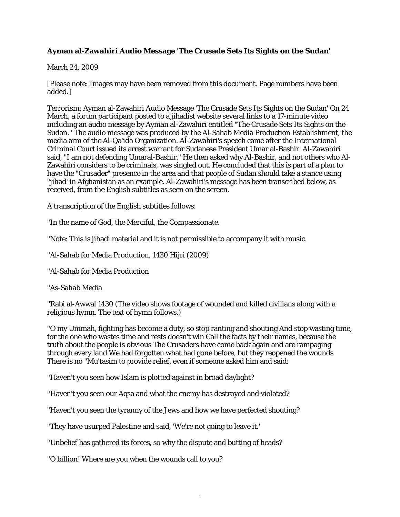## **Ayman al-Zawahiri Audio Message 'The Crusade Sets Its Sights on the Sudan'**

March 24, 2009

[Please note: Images may have been removed from this document. Page numbers have been added.]

Terrorism: Ayman al-Zawahiri Audio Message 'The Crusade Sets Its Sights on the Sudan' On 24 March, a forum participant posted to a jihadist website several links to a 17-minute video including an audio message by Ayman al-Zawahiri entitled "The Crusade Sets Its Sights on the Sudan." The audio message was produced by the Al-Sahab Media Production Establishment, the media arm of the Al-Qa'ida Organization. Al-Zawahiri's speech came after the International Criminal Court issued its arrest warrant for Sudanese President Umar al-Bashir. Al-Zawahiri said, "I am not defending Umaral-Bashir." He then asked why Al-Bashir, and not others who Al-Zawahiri considers to be criminals, was singled out. He concluded that this is part of a plan to have the "Crusader" presence in the area and that people of Sudan should take a stance using "jihad' in Afghanistan as an example. Al-Zawahiri's message has been transcribed below, as received, from the English subtitles as seen on the screen.

A transcription of the English subtitles follows:

"In the name of God, the Merciful, the Compassionate.

"Note: This is jihadi material and it is not permissible to accompany it with music.

"Al-Sahab for Media Production, 1430 Hijri (2009)

"Al-Sahab for Media Production

"As-Sahab Media

"Rabi al-Awwal 1430 (The video shows footage of wounded and killed civilians along with a religious hymn. The text of hymn follows.)

"O my Ummah, fighting has become a duty, so stop ranting and shouting And stop wasting time, for the one who wastes time and rests doesn't win Call the facts by their names, because the truth about the people is obvious The Crusaders have come back again and are rampaging through every land We had forgotten what had gone before, but they reopened the wounds There is no "Mu'tasim to provide relief, even if someone asked him and said:

"Haven't you seen how Islam is plotted against in broad daylight?

"Haven't you seen our Aqsa and what the enemy has destroyed and violated?

"Haven't you seen the tyranny of the Jews and how we have perfected shouting?

"They have usurped Palestine and said, 'We're not going to leave it.'

"Unbelief has gathered its forces, so why the dispute and butting of heads?

"O billion! Where are you when the wounds call to you?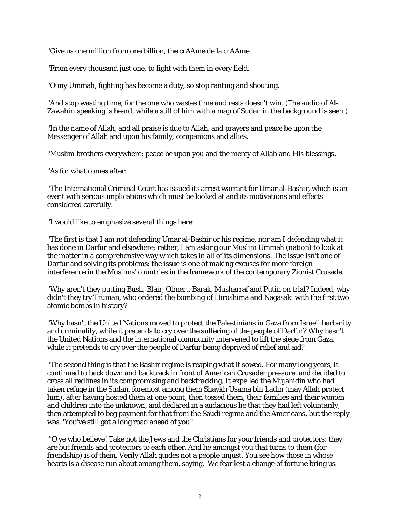"Give us one million from one billion, the crAAme de la crAAme.

"From every thousand just one, to fight with them in every field.

"O my Ummah, fighting has become a duty, so stop ranting and shouting.

"And stop wasting time, for the one who wastes time and rests doesn't win. (The audio of Al-Zawahiri speaking is heard, while a still of him with a map of Sudan in the background is seen.)

"In the name of Allah, and all praise is due to Allah, and prayers and peace be upon the Messenger of Allah and upon his family, companions and allies.

"Muslim brothers everywhere: peace be upon you and the mercy of Allah and His blessings.

"As for what comes after:

"The International Criminal Court has issued its arrest warrant for Umar al-Bashir, which is an event with serious implications which must be looked at and its motivations and effects considered carefully.

"I would like to emphasize several things here:

"The first is that I am not defending Umar al-Bashir or his regime, nor am I defending what it has done in Darfur and elsewhere; rather, I am asking our Muslim Ummah (nation) to look at the matter in a comprehensive way which takes in all of its dimensions. The issue isn't one of Darfur and solving its problems: the issue is one of making excuses for more foreign interference in the Muslims' countries in the framework of the contemporary Zionist Crusade.

"Why aren't they putting Bush, Blair, Olmert, Barak, Musharraf and Putin on trial? Indeed, why didn't they try Truman, who ordered the bombing of Hiroshima and Nagasaki with the first two atomic bombs in history?

"Why hasn't the United Nations moved to protect the Palestinians in Gaza from Israeli barbarity and criminality, while it pretends to cry over the suffering of the people of Darfur? Why hasn't the United Nations and the international community intervened to lift the siege from Gaza, while it pretends to cry over the people of Darfur being deprived of relief and aid?

"The second thing is that the Bashir regime is reaping what it sowed. For many long years, it continued to back down and backtrack in front of American Crusader pressure, and decided to cross all redlines in its compromising and backtracking. It expelled the Mujahidin who had taken refuge in the Sudan, foremost among them Shaykh Usama bin Ladin (may Allah protect him), after having hosted them at one point, then tossed them, their families and their women and children into the unknown, and declared in a audacious lie that they had left voluntarily, then attempted to beg payment for that from the Saudi regime and the Americans, but the reply was, 'You've still got a long road ahead of you!'

"'O ye who believe! Take not the Jews and the Christians for your friends and protectors: they are but friends and protectors to each other. And he amongst you that turns to them (for friendship) is of them. Verily Allah guides not a people unjust. You see how those in whose hearts is a disease run about among them, saying, 'We fear lest a change of fortune bring us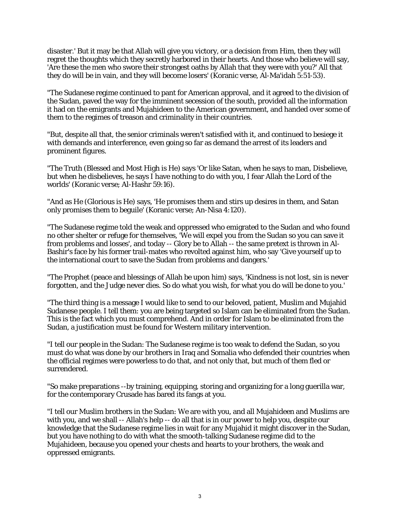disaster.' But it may be that Allah will give you victory, or a decision from Him, then they will regret the thoughts which they secretly harbored in their hearts. And those who believe will say, 'Are these the men who swore their strongest oaths by Allah that they were with you?' All that they do will be in vain, and they will become losers' (Koranic verse, Al-Ma'idah 5:51-53).

"The Sudanese regime continued to pant for American approval, and it agreed to the division of the Sudan, paved the way for the imminent secession of the south, provided all the information it had on the emigrants and Mujahideen to the American government, and handed over some of them to the regimes of treason and criminality in their countries.

"But, despite all that, the senior criminals weren't satisfied with it, and continued to besiege it with demands and interference, even going so far as demand the arrest of its leaders and prominent figures.

"The Truth (Blessed and Most High is He) says 'Or like Satan, when he says to man, Disbelieve, but when he disbelieves, he says I have nothing to do with you, I fear Allah the Lord of the worlds' (Koranic verse; Al-Hashr 59:16).

"And as He (Glorious is He) says, 'He promises them and stirs up desires in them, and Satan only promises them to beguile' (Koranic verse; An-Nisa 4:120).

"The Sudanese regime told the weak and oppressed who emigrated to the Sudan and who found no other shelter or refuge for themselves, 'We will expel you from the Sudan so you can save it from problems and losses', and today -- Glory be to Allah -- the same pretext is thrown in Al-Bashir's face by his former trail-mates who revolted against him, who say 'Give yourself up to the international court to save the Sudan from problems and dangers.'

"The Prophet (peace and blessings of Allah be upon him) says, 'Kindness is not lost, sin is never forgotten, and the Judge never dies. So do what you wish, for what you do will be done to you.'

"The third thing is a message I would like to send to our beloved, patient, Muslim and Mujahid Sudanese people. I tell them: you are being targeted so Islam can be eliminated from the Sudan. This is the fact which you must comprehend. And in order for Islam to be eliminated from the Sudan, a justification must be found for Western military intervention.

"I tell our people in the Sudan: The Sudanese regime is too weak to defend the Sudan, so you must do what was done by our brothers in Iraq and Somalia who defended their countries when the official regimes were powerless to do that, and not only that, but much of them fled or surrendered.

"So make preparations --by training, equipping, storing and organizing for a long guerilla war, for the contemporary Crusade has bared its fangs at you.

"I tell our Muslim brothers in the Sudan: We are with you, and all Mujahideen and Muslims are with you, and we shall -- Allah's help -- do all that is in our power to help you, despite our knowledge that the Sudanese regime lies in wait for any Mujahid it might discover in the Sudan, but you have nothing to do with what the smooth-talking Sudanese regime did to the Mujahideen, because you opened your chests and hearts to your brothers, the weak and oppressed emigrants.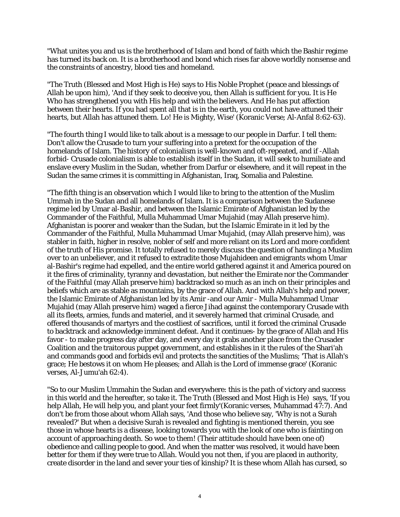"What unites you and us is the brotherhood of Islam and bond of faith which the Bashir regime has turned its back on. It is a brotherhood and bond which rises far above worldly nonsense and the constraints of ancestry, blood ties and homeland.

"The Truth (Blessed and Most High is He) says to His Noble Prophet (peace and blessings of Allah be upon him), 'And if they seek to deceive you, then Allah is sufficient for you. It is He Who has strengthened you with His help and with the believers. And He has put affection between their hearts. If you had spent all that is in the earth, you could not have attuned their hearts, but Allah has attuned them. Lo! He is Mighty, Wise' (Koranic Verse; Al-Anfal 8:62-63).

"The fourth thing I would like to talk about is a message to our people in Darfur. I tell them: Don't allow the Crusade to turn your suffering into a pretext for the occupation of the homelands of Islam. The history of colonialism is well-known and oft-repeated, and if -Allah forbid- Crusade colonialism is able to establish itself in the Sudan, it will seek to humiliate and enslave every Muslim in the Sudan, whether from Darfur or elsewhere, and it will repeat in the Sudan the same crimes it is committing in Afghanistan, Iraq, Somalia and Palestine.

"The fifth thing is an observation which I would like to bring to the attention of the Muslim Ummah in the Sudan and all homelands of Islam. It is a comparison between the Sudanese regime led by Umar al-Bashir, and between the Islamic Emirate of Afghanistan led by the Commander of the Faithful, Mulla Muhammad Umar Mujahid (may Allah preserve him). Afghanistan is poorer and weaker than the Sudan, but the Islamic Emirate in it led by the Commander of the Faithful, Mulla Muhammad Umar Mujahid, (may Allah preserve him), was stabler in faith, higher in resolve, nobler of self and more reliant on its Lord and more confident of the truth of His promise. It totally refused to merely discuss the question of handing a Muslim over to an unbeliever, and it refused to extradite those Mujahideen and emigrants whom Umar al-Bashir's regime had expelled, and the entire world gathered against it and America poured on it the fires of criminality, tyranny and devastation, but neither the Emirate nor the Commander of the Faithful (may Allah preserve him) backtracked so much as an inch on their principles and beliefs which are as stable as mountains, by the grace of Allah. And with Allah's help and power, the Islamic Emirate of Afghanistan led by its Amir -and our Amir - Mulla Muhammad Umar Mujahid (may Allah preserve him) waged a fierce Jihad against the contemporary Crusade with all its fleets, armies, funds and materiel, and it severely harmed that criminal Crusade, and offered thousands of martyrs and the costliest of sacrifices, until it forced the criminal Crusade to backtrack and acknowledge imminent defeat. And it continues- by the grace of Allah and His favor - to make progress day after day, and every day it grabs another place from the Crusader Coalition and the traitorous puppet government, and establishes in it the rules of the Shari'ah and commands good and forbids evil and protects the sanctities of the Muslims; 'That is Allah's grace; He bestows it on whom He pleases; and Allah is the Lord of immense grace' (Koranic verses, Al-Jumu'ah 62:4).

"So to our Muslim Ummahin the Sudan and everywhere: this is the path of victory and success in this world and the hereafter, so take it. The Truth (Blessed and Most High is He) says, 'If you help Allah, He will help you, and plant your feet firmly'(Koranic verses, Muhammad 47:7). And don't be from those about whom Allah says, 'And those who believe say, 'Why is not a Surah revealed?' But when a decisive Surah is revealed and fighting is mentioned therein, you see those in whose hearts is a disease, looking towards you with the look of one who is fainting on account of approaching death. So woe to them! (Their attitude should have been one of) obedience and calling people to good. And when the matter was resolved, it would have been better for them if they were true to Allah. Would you not then, if you are placed in authority, create disorder in the land and sever your ties of kinship? It is these whom Allah has cursed, so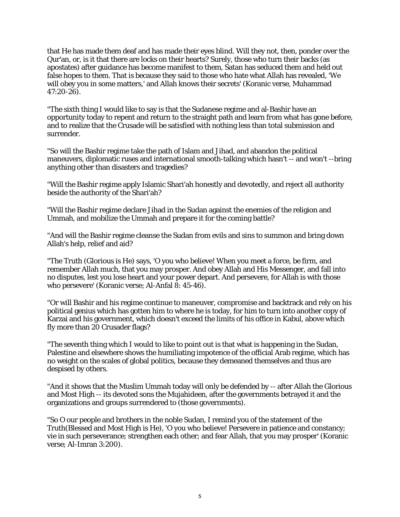that He has made them deaf and has made their eyes blind. Will they not, then, ponder over the Qur'an, or, is it that there are locks on their hearts? Surely, those who turn their backs (as apostates) after guidance has become manifest to them, Satan has seduced them and held out false hopes to them. That is because they said to those who hate what Allah has revealed, 'We will obey you in some matters,' and Allah knows their secrets' (Koranic verse, Muhammad 47:20-26).

"The sixth thing I would like to say is that the Sudanese regime and al-Bashir have an opportunity today to repent and return to the straight path and learn from what has gone before, and to realize that the Crusade will be satisfied with nothing less than total submission and surrender.

"So will the Bashir regime take the path of Islam and Jihad, and abandon the political maneuvers, diplomatic ruses and international smooth-talking which hasn't -- and won't --bring anything other than disasters and tragedies?

"Will the Bashir regime apply Islamic Shari'ah honestly and devotedly, and reject all authority beside the authority of the Shari'ah?

"Will the Bashir regime declare Jihad in the Sudan against the enemies of the religion and Ummah, and mobilize the Ummah and prepare it for the coming battle?

"And will the Bashir regime cleanse the Sudan from evils and sins to summon and bring down Allah's help, relief and aid?

"The Truth (Glorious is He) says, 'O you who believe! When you meet a force, be firm, and remember Allah much, that you may prosper. And obey Allah and His Messenger, and fall into no disputes, lest you lose heart and your power depart. And persevere, for Allah is with those who persevere' (Koranic verse; Al-Anfal 8: 45-46).

"Or will Bashir and his regime continue to maneuver, compromise and backtrack and rely on his political genius which has gotten him to where he is today, for him to turn into another copy of Karzai and his government, which doesn't exceed the limits of his office in Kabul, above which fly more than 20 Crusader flags?

"The seventh thing which I would to like to point out is that what is happening in the Sudan, Palestine and elsewhere shows the humiliating impotence of the official Arab regime, which has no weight on the scales of global politics, because they demeaned themselves and thus are despised by others.

"And it shows that the Muslim Ummah today will only be defended by -- after Allah the Glorious and Most High -- its devoted sons the Mujahideen, after the governments betrayed it and the organizations and groups surrendered to (those governments).

"So O our people and brothers in the noble Sudan, I remind you of the statement of the Truth(Blessed and Most High is He), 'O you who believe! Persevere in patience and constancy; vie in such perseverance; strengthen each other; and fear Allah, that you may prosper' (Koranic verse; Al-Imran 3:200).